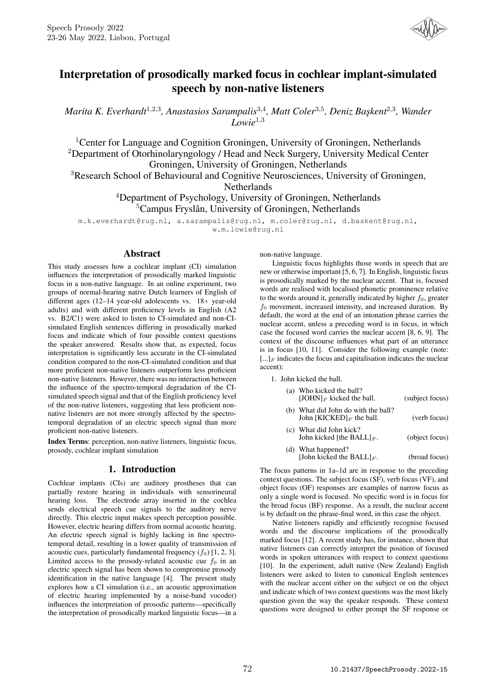

# Interpretation of prosodically marked focus in cochlear implant-simulated speech by non-native listeners

Marita K. Everhardt<sup>1,2,3</sup>, Anastasios Sarampalis<sup>3,4</sup>, Matt Coler<sup>3,5</sup>, Deniz Başkent<sup>2,3</sup>, Wander *Lowie*<sup>1</sup>*,*<sup>3</sup>

<sup>1</sup> Center for Language and Cognition Groningen, University of Groningen, Netherlands <sup>2</sup>Department of Otorhinolaryngology / Head and Neck Surgery, University Medical Center Groningen, University of Groningen, Netherlands

<sup>3</sup>Research School of Behavioural and Cognitive Neurosciences, University of Groningen,

Netherlands

<sup>4</sup>Department of Psychology, University of Groningen, Netherlands <sup>5</sup>Campus Fryslân, University of Groningen, Netherlands

m.k.everhardt@rug.nl, a.sarampalis@rug.nl, m.coler@rug.nl, d.baskent@rug.nl, w.m.lowie@rug.nl

# Abstract

This study assesses how a cochlear implant (CI) simulation influences the interpretation of prosodically marked linguistic focus in a non-native language. In an online experiment, two groups of normal-hearing native Dutch learners of English of different ages (12–14 year-old adolescents vs. 18+ year-old adults) and with different proficiency levels in English (A2 vs. B2/C1) were asked to listen to CI-simulated and non-CIsimulated English sentences differing in prosodically marked focus and indicate which of four possible context questions the speaker answered. Results show that, as expected, focus interpretation is significantly less accurate in the CI-simulated condition compared to the non-CI-simulated condition and that more proficient non-native listeners outperform less proficient non-native listeners. However, there was no interaction between the influence of the spectro-temporal degradation of the CIsimulated speech signal and that of the English proficiency level of the non-native listeners, suggesting that less proficient nonnative listeners are not more strongly affected by the spectrotemporal degradation of an electric speech signal than more proficient non-native listeners.

Index Terms: perception, non-native listeners, linguistic focus, prosody, cochlear implant simulation

# 1. Introduction

Cochlear implants (CIs) are auditory prostheses that can partially restore hearing in individuals with sensorineural hearing loss. The electrode array inserted in the cochlea sends electrical speech cue signals to the auditory nerve directly. This electric input makes speech perception possible. However, electric hearing differs from normal acoustic hearing. An electric speech signal is highly lacking in fine spectrotemporal detail, resulting in a lower quality of transmission of acoustic cues, particularly fundamental frequency  $(f_0)$  [1, 2, 3]. Limited access to the prosody-related acoustic cue  $f_0$  in an electric speech signal has been shown to compromise prosody identification in the native language [4]. The present study explores how a CI simulation (i.e., an acoustic approximation of electric hearing implemented by a noise-band vocoder) influences the interpretation of prosodic patterns—specifically the interpretation of prosodically marked linguistic focus—in a non-native language.

Linguistic focus highlights those words in speech that are new or otherwise important [5, 6, 7]. In English, linguistic focus is prosodically marked by the nuclear accent. That is, focused words are realised with localised phonetic prominence relative to the words around it, generally indicated by higher *f*0, greater *f*<sup>0</sup> movement, increased intensity, and increased duration. By default, the word at the end of an intonation phrase carries the nuclear accent, unless a preceding word is in focus, in which case the focused word carries the nuclear accent [8, 6, 9]. The context of the discourse influences what part of an utterance is in focus [10, 11]. Consider the following example (note:  $[\,...]_F$  indicates the focus and capitalisation indicates the nuclear accent):

1. John kicked the ball.

| (a) Who kicked the ball?<br>[JOHN] $_F$ kicked the ball.                    | (subject focus) |
|-----------------------------------------------------------------------------|-----------------|
| (b) What did John do with the ball?<br>John [KICKED] <sub>F</sub> the ball. | (verb focus)    |
| (c) What did John kick?<br>John kicked [the BALL] $_F$ .                    | (object focus)  |
| (d) What happened?<br>[John kicked the BALL] $_F$ .                         | (broad focus)   |

The focus patterns in 1a–1d are in response to the preceding context questions. The subject focus (SF), verb focus (VF), and object focus (OF) responses are examples of narrow focus as only a single word is focused. No specific word is in focus for the broad focus (BF) response. As a result, the nuclear accent is by default on the phrase-final word, in this case the object.

Native listeners rapidly and efficiently recognise focused words and the discourse implications of the prosodically marked focus [12]. A recent study has, for instance, shown that native listeners can correctly interpret the position of focused words in spoken utterances with respect to context questions [10]. In the experiment, adult native (New Zealand) English listeners were asked to listen to canonical English sentences with the nuclear accent either on the subject or on the object and indicate which of two context questions was the most likely question given the way the speaker responds. These context questions were designed to either prompt the SF response or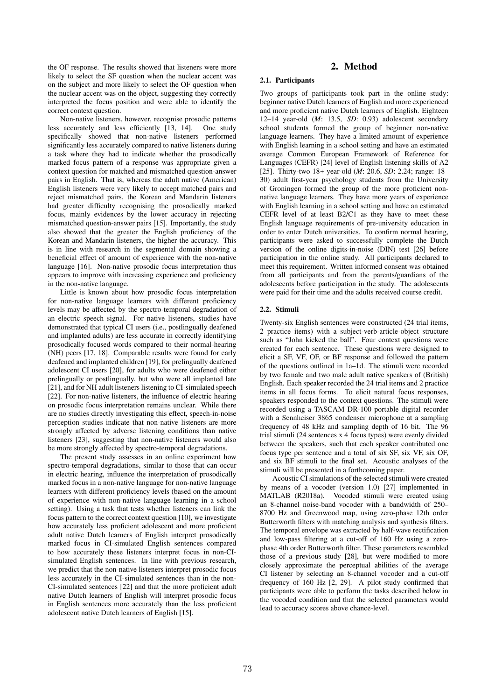the OF response. The results showed that listeners were more likely to select the SF question when the nuclear accent was on the subject and more likely to select the OF question when the nuclear accent was on the object, suggesting they correctly interpreted the focus position and were able to identify the correct context question.

Non-native listeners, however, recognise prosodic patterns less accurately and less efficiently [13, 14]. One study specifically showed that non-native listeners performed significantly less accurately compared to native listeners during a task where they had to indicate whether the prosodically marked focus pattern of a response was appropriate given a context question for matched and mismatched question-answer pairs in English. That is, whereas the adult native (American) English listeners were very likely to accept matched pairs and reject mismatched pairs, the Korean and Mandarin listeners had greater difficulty recognising the prosodically marked focus, mainly evidences by the lower accuracy in rejecting mismatched question-answer pairs [15]. Importantly, the study also showed that the greater the English proficiency of the Korean and Mandarin listeners, the higher the accuracy. This is in line with research in the segmental domain showing a beneficial effect of amount of experience with the non-native language [16]. Non-native prosodic focus interpretation thus appears to improve with increasing experience and proficiency in the non-native language.

Little is known about how prosodic focus interpretation for non-native language learners with different proficiency levels may be affected by the spectro-temporal degradation of an electric speech signal. For native listeners, studies have demonstrated that typical CI users (i.e., postlingually deafened and implanted adults) are less accurate in correctly identifying prosodically focused words compared to their normal-hearing (NH) peers [17, 18]. Comparable results were found for early deafened and implanted children [19], for prelingually deafened adolescent CI users [20], for adults who were deafened either prelingually or postlingually, but who were all implanted late [21], and for NH adult listeners listening to CI-simulated speech [22]. For non-native listeners, the influence of electric hearing on prosodic focus interpretation remains unclear. While there are no studies directly investigating this effect, speech-in-noise perception studies indicate that non-native listeners are more strongly affected by adverse listening conditions than native listeners [23], suggesting that non-native listeners would also be more strongly affected by spectro-temporal degradations.

The present study assesses in an online experiment how spectro-temporal degradations, similar to those that can occur in electric hearing, influence the interpretation of prosodically marked focus in a non-native language for non-native language learners with different proficiency levels (based on the amount of experience with non-native language learning in a school setting). Using a task that tests whether listeners can link the focus pattern to the correct context question [10], we investigate how accurately less proficient adolescent and more proficient adult native Dutch learners of English interpret prosodically marked focus in CI-simulated English sentences compared to how accurately these listeners interpret focus in non-CIsimulated English sentences. In line with previous research, we predict that the non-native listeners interpret prosodic focus less accurately in the CI-simulated sentences than in the non-CI-simulated sentences [22] and that the more proficient adult native Dutch learners of English will interpret prosodic focus in English sentences more accurately than the less proficient adolescent native Dutch learners of English [15].

# 2. Method

### 2.1. Participants

Two groups of participants took part in the online study: beginner native Dutch learners of English and more experienced and more proficient native Dutch learners of English. Eighteen 12–14 year-old (*M*: 13.5, *SD*: 0.93) adolescent secondary school students formed the group of beginner non-native language learners. They have a limited amount of experience with English learning in a school setting and have an estimated average Common European Framework of Reference for Languages (CEFR) [24] level of English listening skills of A2 [25]. Thirty-two 18+ year-old (*M*: 20.6, *SD*: 2.24; range: 18– 30) adult first-year psychology students from the University of Groningen formed the group of the more proficient nonnative language learners. They have more years of experience with English learning in a school setting and have an estimated CEFR level of at least B2/C1 as they have to meet these English language requirements of pre-university education in order to enter Dutch universities. To confirm normal hearing, participants were asked to successfully complete the Dutch version of the online digits-in-noise (DIN) test [26] before participation in the online study. All participants declared to meet this requirement. Written informed consent was obtained from all participants and from the parents/guardians of the adolescents before participation in the study. The adolescents were paid for their time and the adults received course credit.

#### 2.2. Stimuli

Twenty-six English sentences were constructed (24 trial items, 2 practice items) with a subject-verb-article-object structure such as "John kicked the ball". Four context questions were created for each sentence. These questions were designed to elicit a SF, VF, OF, or BF response and followed the pattern of the questions outlined in 1a–1d. The stimuli were recorded by two female and two male adult native speakers of (British) English. Each speaker recorded the 24 trial items and 2 practice items in all focus forms. To elicit natural focus responses, speakers responded to the context questions. The stimuli were recorded using a TASCAM DR-100 portable digital recorder with a Sennheiser 3865 condenser microphone at a sampling frequency of 48 kHz and sampling depth of 16 bit. The 96 trial stimuli (24 sentences x 4 focus types) were evenly divided between the speakers, such that each speaker contributed one focus type per sentence and a total of six SF, six VF, six OF, and six BF stimuli to the final set. Acoustic analyses of the stimuli will be presented in a forthcoming paper.

Acoustic CI simulations of the selected stimuli were created by means of a vocoder (version 1.0) [27] implemented in MATLAB (R2018a). Vocoded stimuli were created using an 8-channel noise-band vocoder with a bandwidth of 250– 8700 Hz and Greenwood map, using zero-phase 12th order Butterworth filters with matching analysis and synthesis filters. The temporal envelope was extracted by half-wave rectification and low-pass filtering at a cut-off of 160 Hz using a zerophase 4th order Butterworth filter. These parameters resembled those of a previous study [28], but were modified to more closely approximate the perceptual abilities of the average CI listener by selecting an 8-channel vocoder and a cut-off frequency of 160 Hz [2, 29]. A pilot study confirmed that participants were able to perform the tasks described below in the vocoded condition and that the selected parameters would lead to accuracy scores above chance-level.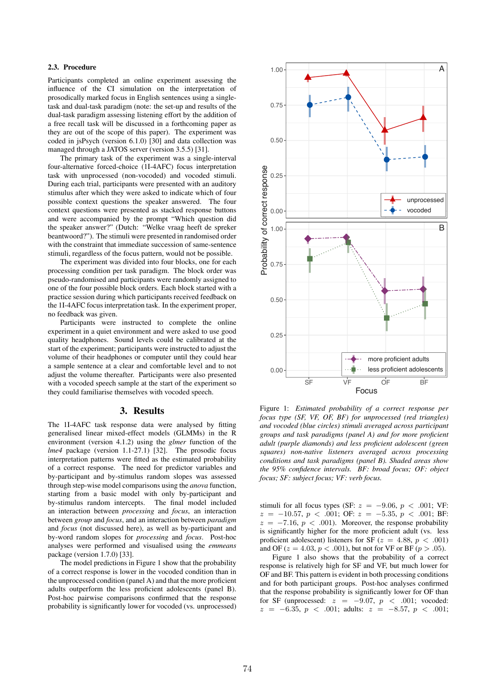## 2.3. Procedure

Participants completed an online experiment assessing the influence of the CI simulation on the interpretation of prosodically marked focus in English sentences using a singletask and dual-task paradigm (note: the set-up and results of the dual-task paradigm assessing listening effort by the addition of a free recall task will be discussed in a forthcoming paper as they are out of the scope of this paper). The experiment was coded in jsPsych (version 6.1.0) [30] and data collection was managed through a JATOS server (version 3.5.5) [31].

The primary task of the experiment was a single-interval four-alternative forced-choice (1I-4AFC) focus interpretation task with unprocessed (non-vocoded) and vocoded stimuli. During each trial, participants were presented with an auditory stimulus after which they were asked to indicate which of four possible context questions the speaker answered. The four context questions were presented as stacked response buttons and were accompanied by the prompt "Which question did the speaker answer?" (Dutch: "Welke vraag heeft de spreker beantwoord?"). The stimuli were presented in randomised order with the constraint that immediate succession of same-sentence stimuli, regardless of the focus pattern, would not be possible.

The experiment was divided into four blocks, one for each processing condition per task paradigm. The block order was pseudo-randomised and participants were randomly assigned to one of the four possible block orders. Each block started with a practice session during which participants received feedback on the 1I-4AFC focus interpretation task. In the experiment proper, no feedback was given.

Participants were instructed to complete the online experiment in a quiet environment and were asked to use good quality headphones. Sound levels could be calibrated at the start of the experiment; participants were instructed to adjust the volume of their headphones or computer until they could hear a sample sentence at a clear and comfortable level and to not adjust the volume thereafter. Participants were also presented with a vocoded speech sample at the start of the experiment so they could familiarise themselves with vocoded speech.

#### 3. Results

The 1I-4AFC task response data were analysed by fitting generalised linear mixed-effect models (GLMMs) in the R environment (version 4.1.2) using the *glmer* function of the *lme4* package (version 1.1-27.1) [32]. The prosodic focus interpretation patterns were fitted as the estimated probability of a correct response. The need for predictor variables and by-participant and by-stimulus random slopes was assessed through step-wise model comparisons using the *anova* function, starting from a basic model with only by-participant and by-stimulus random intercepts. The final model included an interaction between *processing* and *focus*, an interaction between *group* and *focus*, and an interaction between *paradigm* and *focus* (not discussed here), as well as by-participant and by-word random slopes for *processing* and *focus*. Post-hoc analyses were performed and visualised using the *emmeans* package (version 1.7.0) [33].

The model predictions in Figure 1 show that the probability of a correct response is lower in the vocoded condition than in the unprocessed condition (panel A) and that the more proficient adults outperform the less proficient adolescents (panel B). Post-hoc pairwise comparisons confirmed that the response probability is significantly lower for vocoded (vs. unprocessed)



Figure 1: *Estimated probability of a correct response per focus type (SF, VF, OF, BF) for unprocessed (red triangles) and vocoded (blue circles) stimuli averaged across participant groups and task paradigms (panel A) and for more proficient adult (purple diamonds) and less proficient adolescent (green squares) non-native listeners averaged across processing conditions and task paradigms (panel B). Shaded areas show the 95% confidence intervals. BF: broad focus; OF: object focus; SF: subject focus; VF: verb focus.*

stimuli for all focus types (SF:  $z = -9.06$ ,  $p < .001$ ; VF: *z* = −10*.*57, *p < .*001; OF: *z* = −5*.*35, *p < .*001; BF:  $z = -7.16$ ,  $p < .001$ ). Moreover, the response probability is significantly higher for the more proficient adult (vs. less proficient adolescent) listeners for  $S_F$  ( $z = 4.88$ ,  $p < .001$ ) and OF ( $z = 4.03$ ,  $p < .001$ ), but not for VF or BF ( $p > .05$ ).

Figure 1 also shows that the probability of a correct response is relatively high for SF and VF, but much lower for OF and BF. This pattern is evident in both processing conditions and for both participant groups. Post-hoc analyses confirmed that the response probability is significantly lower for OF than for SF (unprocessed:  $z = -9.07, p < .001$ ; vocoded: *z* = −6*.*35, *p < .*001; adults: *z* = −8*.*57, *p < .*001;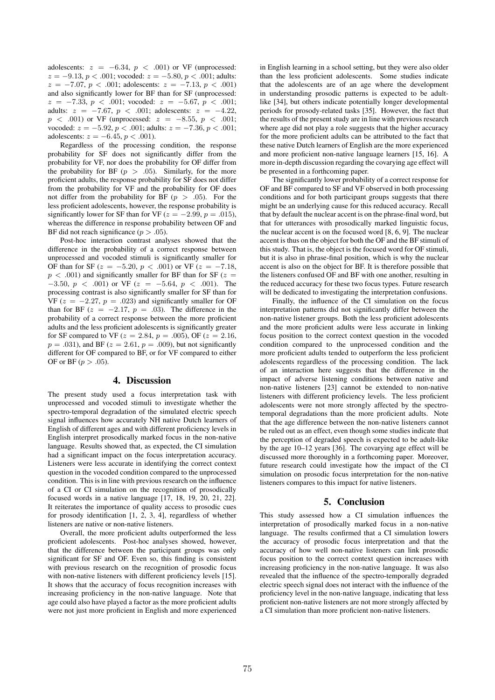adolescents:  $z = -6.34$ ,  $p < .001$ ) or VF (unprocessed:  $z = -9.13, p < .001$ ; vocoded:  $z = -5.80, p < .001$ ; adults: *z* = −7*.*07, *p < .*001; adolescents: *z* = −7*.*13, *p < .*001) and also significantly lower for BF than for SF (unprocessed: *z* = −7*.*33, *p < .*001; vocoded: *z* = −5*.*67, *p < .*001; adults:  $z = -7.67$ ,  $p < .001$ ; adolescents:  $z = -4.22$ , *p < .001*) or VF (unprocessed: *z* = −8*.55*, *p < .001*; vocoded:  $z = -5.92, p < .001$ ; adults:  $z = -7.36, p < .001$ ; adolescents:  $z = -6.45, p < .001$ .

Regardless of the processing condition, the response probability for SF does not significantly differ from the probability for VF, nor does the probability for OF differ from the probability for BF  $(p > .05)$ . Similarly, for the more proficient adults, the response probability for SF does not differ from the probability for VF and the probability for OF does not differ from the probability for BF  $(p > .05)$ . For the less proficient adolescents, however, the response probability is significantly lower for SF than for VF ( $z = -2.99$ ,  $p = .015$ ), whereas the difference in response probability between OF and BF did not reach significance  $(p > .05)$ .

Post-hoc interaction contrast analyses showed that the difference in the probability of a correct response between unprocessed and vocoded stimuli is significantly smaller for OF than for SF ( $z = -5.20, p < .001$ ) or VF ( $z = -7.18$ ,  $p < .001$ ) and significantly smaller for BF than for SF ( $z =$ −3*.*50, *p < .*001) or VF (*z* = −5*.*64, *p < .*001). The processing contrast is also significantly smaller for SF than for VF  $(z = -2.27, p = .023)$  and significantly smaller for OF than for BF  $(z = -2.17, p = .03)$ . The difference in the probability of a correct response between the more proficient adults and the less proficient adolescents is significantly greater for SF compared to VF ( $z = 2.84$ ,  $p = .005$ ), OF ( $z = 2.16$ ,  $p = .031$ , and BF ( $z = 2.61$ ,  $p = .009$ ), but not significantly different for OF compared to BF, or for VF compared to either OF or BF ( $p > .05$ ).

## 4. Discussion

The present study used a focus interpretation task with unprocessed and vocoded stimuli to investigate whether the spectro-temporal degradation of the simulated electric speech signal influences how accurately NH native Dutch learners of English of different ages and with different proficiency levels in English interpret prosodically marked focus in the non-native language. Results showed that, as expected, the CI simulation had a significant impact on the focus interpretation accuracy. Listeners were less accurate in identifying the correct context question in the vocoded condition compared to the unprocessed condition. This is in line with previous research on the influence of a CI or CI simulation on the recognition of prosodically focused words in a native language [17, 18, 19, 20, 21, 22]. It reiterates the importance of quality access to prosodic cues for prosody identification [1, 2, 3, 4], regardless of whether listeners are native or non-native listeners.

Overall, the more proficient adults outperformed the less proficient adolescents. Post-hoc analyses showed, however, that the difference between the participant groups was only significant for SF and OF. Even so, this finding is consistent with previous research on the recognition of prosodic focus with non-native listeners with different proficiency levels [15]. It shows that the accuracy of focus recognition increases with increasing proficiency in the non-native language. Note that age could also have played a factor as the more proficient adults were not just more proficient in English and more experienced

in English learning in a school setting, but they were also older than the less proficient adolescents. Some studies indicate that the adolescents are of an age where the development in understanding prosodic patterns is expected to be adultlike [34], but others indicate potentially longer developmental periods for prosody-related tasks [35]. However, the fact that the results of the present study are in line with previous research where age did not play a role suggests that the higher accuracy for the more proficient adults can be attributed to the fact that these native Dutch learners of English are the more experienced and more proficient non-native language learners [15, 16]. A more in-depth discussion regarding the covarying age effect will be presented in a forthcoming paper.

The significantly lower probability of a correct response for OF and BF compared to SF and VF observed in both processing conditions and for both participant groups suggests that there might be an underlying cause for this reduced accuracy. Recall that by default the nuclear accent is on the phrase-final word, but that for utterances with prosodically marked linguistic focus, the nuclear accent is on the focused word [8, 6, 9]. The nuclear accent is thus on the object for both the OF and the BF stimuli of this study. That is, the object is the focused word for OF stimuli, but it is also in phrase-final position, which is why the nuclear accent is also on the object for BF. It is therefore possible that the listeners confused OF and BF with one another, resulting in the reduced accuracy for these two focus types. Future research will be dedicated to investigating the interpretation confusions.

Finally, the influence of the CI simulation on the focus interpretation patterns did not significantly differ between the non-native listener groups. Both the less proficient adolescents and the more proficient adults were less accurate in linking focus position to the correct context question in the vocoded condition compared to the unprocessed condition and the more proficient adults tended to outperform the less proficient adolescents regardless of the processing condition. The lack of an interaction here suggests that the difference in the impact of adverse listening conditions between native and non-native listeners [23] cannot be extended to non-native listeners with different proficiency levels. The less proficient adolescents were not more strongly affected by the spectrotemporal degradations than the more proficient adults. Note that the age difference between the non-native listeners cannot be ruled out as an effect, even though some studies indicate that the perception of degraded speech is expected to be adult-like by the age 10–12 years [36]. The covarying age effect will be discussed more thoroughly in a forthcoming paper. Moreover, future research could investigate how the impact of the CI simulation on prosodic focus interpretation for the non-native listeners compares to this impact for native listeners.

## 5. Conclusion

This study assessed how a CI simulation influences the interpretation of prosodically marked focus in a non-native language. The results confirmed that a CI simulation lowers the accuracy of prosodic focus interpretation and that the accuracy of how well non-native listeners can link prosodic focus position to the correct context question increases with increasing proficiency in the non-native language. It was also revealed that the influence of the spectro-temporally degraded electric speech signal does not interact with the influence of the proficiency level in the non-native language, indicating that less proficient non-native listeners are not more strongly affected by a CI simulation than more proficient non-native listeners.